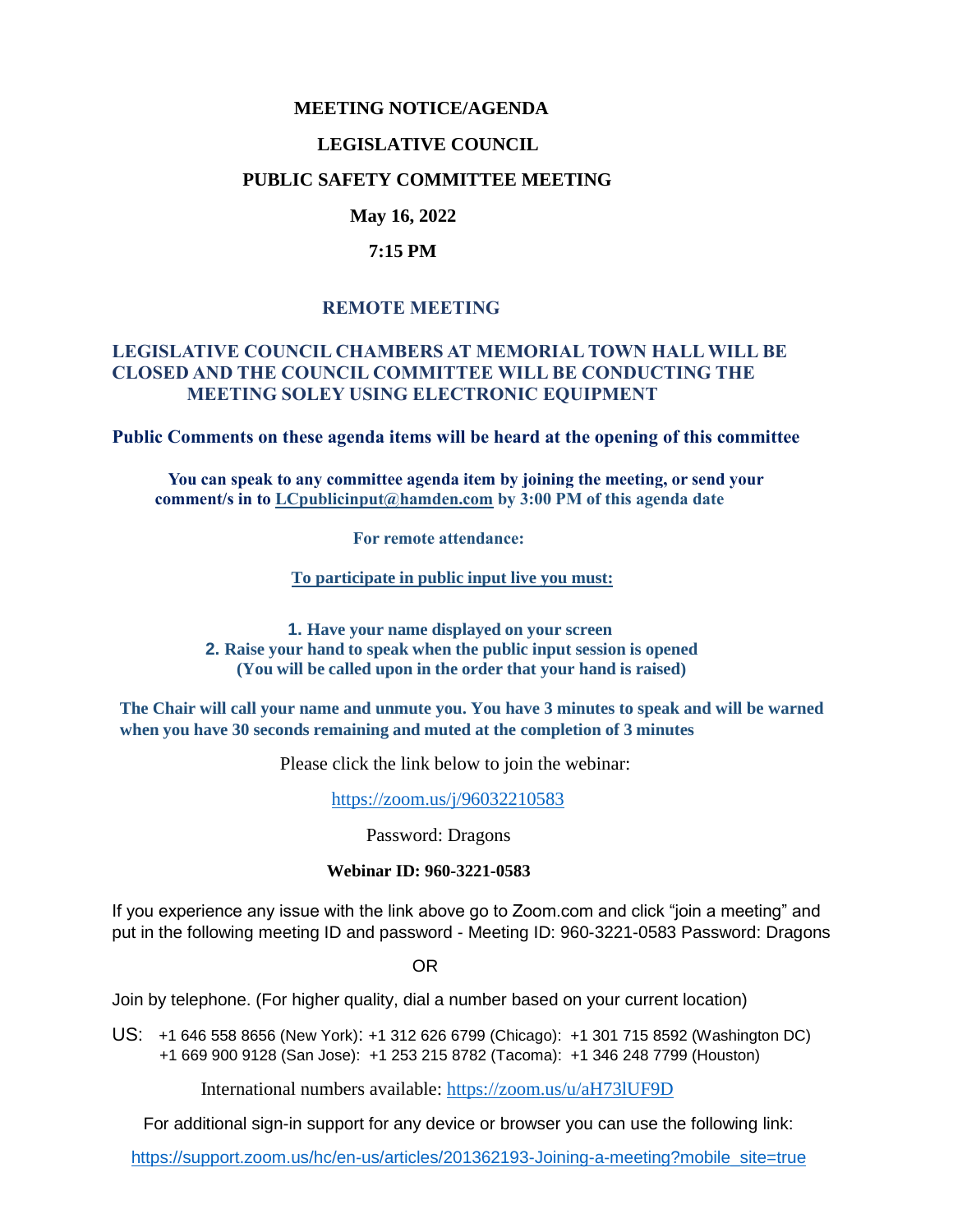### **MEETING NOTICE/AGENDA**

### **LEGISLATIVE COUNCIL**

### **PUBLIC SAFETY COMMITTEE MEETING**

# **May 16, 2022**

### **7:15 PM**

## **REMOTE MEETING**

## **LEGISLATIVE COUNCIL CHAMBERS AT MEMORIAL TOWN HALL WILL BE CLOSED AND THE COUNCIL COMMITTEE WILL BE CONDUCTING THE MEETING SOLEY USING ELECTRONIC EQUIPMENT**

**Public Comments on these agenda items will be heard at the opening of this committee** 

 **You can speak to any committee agenda item by joining the meeting, or send your comment/s in to [LCpublicinput@hamden.com](mailto:LCpublicinput@hamden.com) by 3:00 PM of this agenda date**

 **For remote attendance:**

**To participate in public input live you must:**

**1. Have your name displayed on your screen 2. Raise your hand to speak when the public input session is opened (You will be called upon in the order that your hand is raised)**

**The Chair will call your name and unmute you. You have 3 minutes to speak and will be warned when you have 30 seconds remaining and muted at the completion of 3 minutes**

Please click the link below to join the webinar:

<https://zoom.us/j/96032210583>

Password: Dragons

#### **Webinar ID: 960-3221-0583**

If you experience any issue with the link above go to Zoom.com and click "join a meeting" and put in the following meeting ID and password - Meeting ID: 960-3221-0583 Password: Dragons

OR

Join by telephone. (For higher quality, dial a number based on your current location)

US: [+1 646 558 8656 \(New York\)](tel:+16465588656): [+1 312 626 6799 \(Chicago\):](tel:+13126266799) [+1 301 715 8592 \(Washington DC\)](tel:+13017158592) +1 669 900 9128 (San Jose): [+1 253 215 8782 \(Tacoma\):](tel:+12532158782) [+1 346 248 7799 \(Houston\)](tel:+13462487799)

International numbers available:<https://zoom.us/u/aH73lUF9D>

For additional sign-in support for any device or browser you can use the following link:

[https://support.zoom.us/hc/en-us/articles/201362193-Joining-a-meeting?mobile\\_site=true](https://support.zoom.us/hc/en-us/articles/201362193-Joining-a-meeting?mobile_site=true)